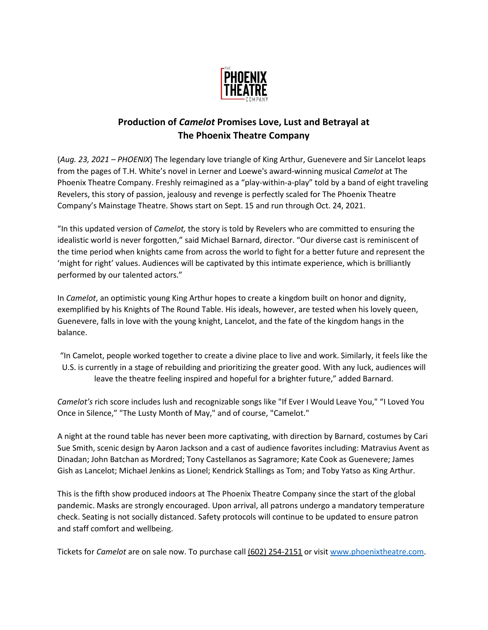

## **Production of** *Camelot* **Promises Love, Lust and Betrayal at The Phoenix Theatre Company**

(*Aug. 23, 2021 – PHOENIX*) The legendary love triangle of King Arthur, Guenevere and Sir Lancelot leaps from the pages of T.H. White's novel in Lerner and Loewe's award-winning musical *Camelot* at The Phoenix Theatre Company. Freshly reimagined as a "play-within-a-play" told by a band of eight traveling Revelers, this story of passion, jealousy and revenge is perfectly scaled for The Phoenix Theatre Company's Mainstage Theatre. Shows start on Sept. 15 and run through Oct. 24, 2021.

"In this updated version of *Camelot,* the story is told by Revelers who are committed to ensuring the idealistic world is never forgotten," said Michael Barnard, director. "Our diverse cast is reminiscent of the time period when knights came from across the world to fight for a better future and represent the 'might for right' values. Audiences will be captivated by this intimate experience, which is brilliantly performed by our talented actors."

In *Camelot*, an optimistic young King Arthur hopes to create a kingdom built on honor and dignity, exemplified by his Knights of The Round Table. His ideals, however, are tested when his lovely queen, Guenevere, falls in love with the young knight, Lancelot, and the fate of the kingdom hangs in the balance.

"In Camelot, people worked together to create a divine place to live and work. Similarly, it feels like the U.S. is currently in a stage of rebuilding and prioritizing the greater good. With any luck, audiences will leave the theatre feeling inspired and hopeful for a brighter future," added Barnard.

*Camelot's* rich score includes lush and recognizable songs like "If Ever I Would Leave You," "I Loved You Once in Silence," "The Lusty Month of May," and of course, "Camelot."

A night at the round table has never been more captivating, with direction by Barnard, costumes by Cari Sue Smith, scenic design by Aaron Jackson and a cast of audience favorites including: Matravius Avent as Dinadan; John Batchan as Mordred; Tony Castellanos as Sagramore; Kate Cook as Guenevere; James Gish as Lancelot; Michael Jenkins as Lionel; Kendrick Stallings as Tom; and Toby Yatso as King Arthur.

This is the fifth show produced indoors at The Phoenix Theatre Company since the start of the global pandemic. Masks are strongly encouraged. Upon arrival, all patrons undergo a mandatory temperature check. Seating is not socially distanced. Safety protocols will continue to be updated to ensure patron and staff comfort and wellbeing.

Tickets for *Camelot* are on sale now. To purchase call (602) 254-2151 or visit [www.phoenixtheatre.com.](https://nam04.safelinks.protection.outlook.com/?url=https%3A%2F%2Furldefense.proofpoint.com%2Fv2%2Furl%3Fu%3Dhttp-3A__www.phoenixtheatre.com_%26d%3DDwMFaQ%26c%3Duw6TLu4hwhHdiGJOgwcWD4AjKQx6zvFcGEsbfiY9-EI%26r%3DeZMqQDp9ZQUI-OSDSomdL2TvAgrE-JddclE5m9ZjdwU%26m%3DI1lt8Vw9_RWJi_BK-FGT6igIAnL-N5HUMWljflSQWww%26s%3DmXWPyvO4jI-qjE1yODGYfsoKJcepAvvVOT7E-ruSeuA%26e%3D&data=04%7C01%7CJOtoole%4012news.com%7Cd0cf4e866a304f02957808d952db46b2%7Cccd8a79b7268413b878971f8b6f4c0df%7C1%7C0%7C637631924004766814%7CUnknown%7CTWFpbGZsb3d8eyJWIjoiMC4wLjAwMDAiLCJQIjoiV2luMzIiLCJBTiI6Ik1haWwiLCJXVCI6Mn0%3D%7C1000&sdata=sHuQpad8yuecgfu5eEWuAquBnZtzEeE4e63rTVHLtwE%3D&reserved=0)